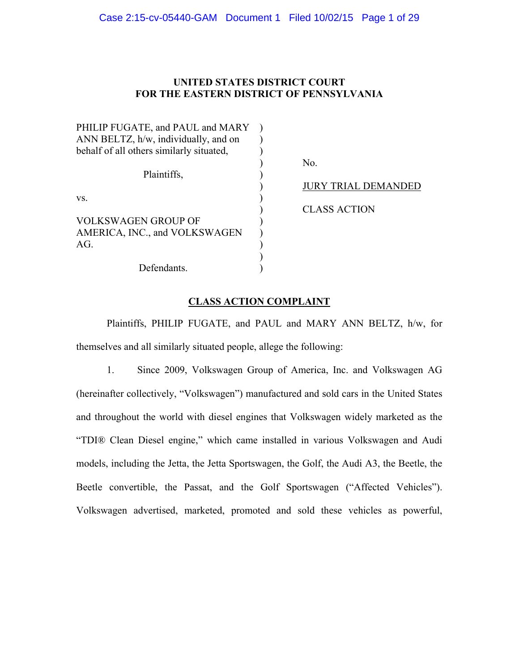## **UNITED STATES DISTRICT COURT FOR THE EASTERN DISTRICT OF PENNSYLVANIA**

| PHILIP FUGATE, and PAUL and MARY         |                            |
|------------------------------------------|----------------------------|
| ANN BELTZ, h/w, individually, and on     |                            |
| behalf of all others similarly situated, |                            |
|                                          | No.                        |
| Plaintiffs,                              |                            |
|                                          | <b>JURY TRIAL DEMANDED</b> |
| VS.                                      |                            |
|                                          | <b>CLASS ACTION</b>        |
| <b>VOLKSWAGEN GROUP OF</b>               |                            |
| AMERICA, INC., and VOLKSWAGEN            |                            |
| AG.                                      |                            |
|                                          |                            |
| Defendants.                              |                            |

## **CLASS ACTION COMPLAINT**

 Plaintiffs, PHILIP FUGATE, and PAUL and MARY ANN BELTZ, h/w, for themselves and all similarly situated people, allege the following:

1. Since 2009, Volkswagen Group of America, Inc. and Volkswagen AG (hereinafter collectively, "Volkswagen") manufactured and sold cars in the United States and throughout the world with diesel engines that Volkswagen widely marketed as the "TDI® Clean Diesel engine," which came installed in various Volkswagen and Audi models, including the Jetta, the Jetta Sportswagen, the Golf, the Audi A3, the Beetle, the Beetle convertible, the Passat, and the Golf Sportswagen ("Affected Vehicles"). Volkswagen advertised, marketed, promoted and sold these vehicles as powerful,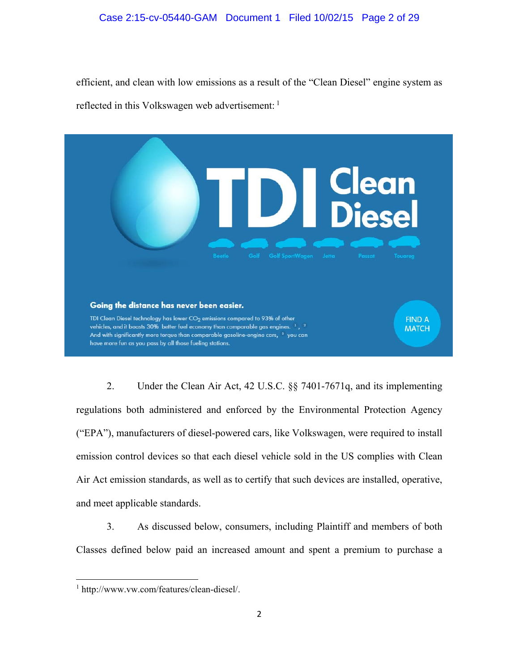## Case 2:15-cv-05440-GAM Document 1 Filed 10/02/15 Page 2 of 29

efficient, and clean with low emissions as a result of the "Clean Diesel" engine system as reflected in this Volkswagen web advertisement: <sup>1</sup>



2. Under the Clean Air Act, 42 U.S.C. §§ 7401-7671q, and its implementing regulations both administered and enforced by the Environmental Protection Agency ("EPA"), manufacturers of diesel-powered cars, like Volkswagen, were required to install emission control devices so that each diesel vehicle sold in the US complies with Clean Air Act emission standards, as well as to certify that such devices are installed, operative, and meet applicable standards.

3. As discussed below, consumers, including Plaintiff and members of both Classes defined below paid an increased amount and spent a premium to purchase a

<sup>1</sup> http://www.vw.com/features/clean-diesel/.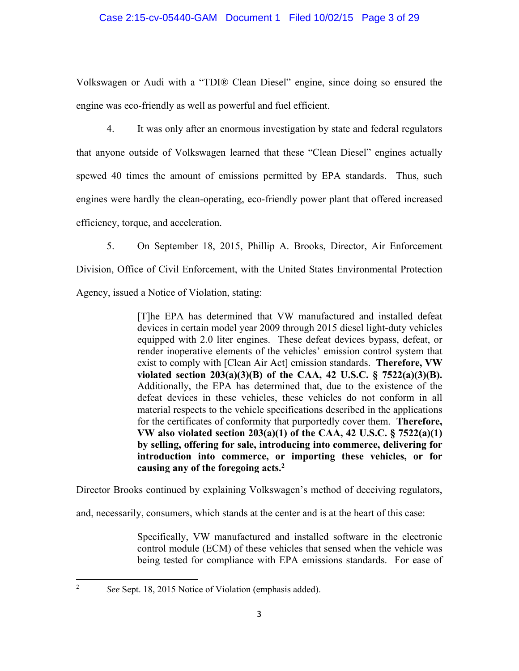## Case 2:15-cv-05440-GAM Document 1 Filed 10/02/15 Page 3 of 29

Volkswagen or Audi with a "TDI® Clean Diesel" engine, since doing so ensured the engine was eco-friendly as well as powerful and fuel efficient.

4. It was only after an enormous investigation by state and federal regulators that anyone outside of Volkswagen learned that these "Clean Diesel" engines actually spewed 40 times the amount of emissions permitted by EPA standards. Thus, such engines were hardly the clean-operating, eco-friendly power plant that offered increased efficiency, torque, and acceleration.

5. On September 18, 2015, Phillip A. Brooks, Director, Air Enforcement

Division, Office of Civil Enforcement, with the United States Environmental Protection

Agency, issued a Notice of Violation, stating:

[T]he EPA has determined that VW manufactured and installed defeat devices in certain model year 2009 through 2015 diesel light-duty vehicles equipped with 2.0 liter engines. These defeat devices bypass, defeat, or render inoperative elements of the vehicles' emission control system that exist to comply with [Clean Air Act] emission standards. **Therefore, VW violated section 203(a)(3)(B) of the CAA, 42 U.S.C. § 7522(a)(3)(B).**  Additionally, the EPA has determined that, due to the existence of the defeat devices in these vehicles, these vehicles do not conform in all material respects to the vehicle specifications described in the applications for the certificates of conformity that purportedly cover them. **Therefore, VW also violated section 203(a)(1) of the CAA, 42 U.S.C. § 7522(a)(1) by selling, offering for sale, introducing into commerce, delivering for introduction into commerce, or importing these vehicles, or for causing any of the foregoing acts.2**

Director Brooks continued by explaining Volkswagen's method of deceiving regulators,

and, necessarily, consumers, which stands at the center and is at the heart of this case:

Specifically, VW manufactured and installed software in the electronic control module (ECM) of these vehicles that sensed when the vehicle was being tested for compliance with EPA emissions standards. For ease of

<sup>2</sup> *See* Sept. 18, 2015 Notice of Violation (emphasis added).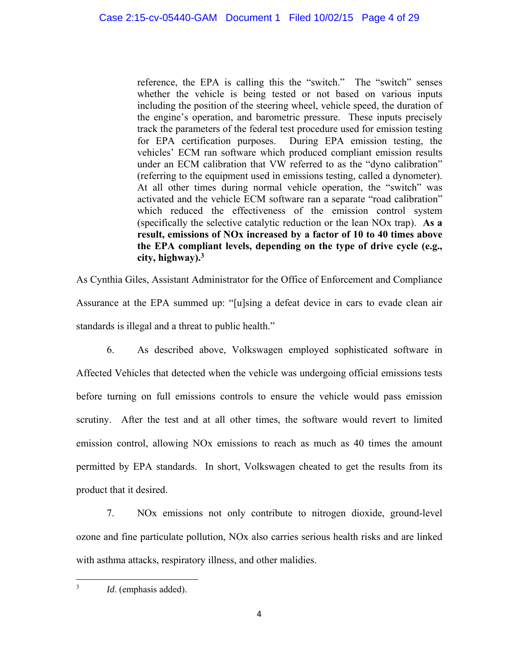reference, the EPA is calling this the "switch." The "switch" senses whether the vehicle is being tested or not based on various inputs including the position of the steering wheel, vehicle speed, the duration of the engine's operation, and barometric pressure. These inputs precisely track the parameters of the federal test procedure used for emission testing for EPA certification purposes. During EPA emission testing, the vehicles' ECM ran software which produced compliant emission results under an ECM calibration that VW referred to as the "dyno calibration" (referring to the equipment used in emissions testing, called a dynometer). At all other times during normal vehicle operation, the "switch" was activated and the vehicle ECM software ran a separate "road calibration" which reduced the effectiveness of the emission control system (specifically the selective catalytic reduction or the lean NOx trap). **As a result, emissions of NOx increased by a factor of 10 to 40 times above the EPA compliant levels, depending on the type of drive cycle (e.g., city, highway).3**

As Cynthia Giles, Assistant Administrator for the Office of Enforcement and Compliance Assurance at the EPA summed up: "[u]sing a defeat device in cars to evade clean air standards is illegal and a threat to public health."

6. As described above, Volkswagen employed sophisticated software in Affected Vehicles that detected when the vehicle was undergoing official emissions tests before turning on full emissions controls to ensure the vehicle would pass emission scrutiny. After the test and at all other times, the software would revert to limited emission control, allowing NOx emissions to reach as much as 40 times the amount permitted by EPA standards. In short, Volkswagen cheated to get the results from its product that it desired.

7. NOx emissions not only contribute to nitrogen dioxide, ground-level ozone and fine particulate pollution, NOx also carries serious health risks and are linked with asthma attacks, respiratory illness, and other malidies.

 3 *Id*. (emphasis added).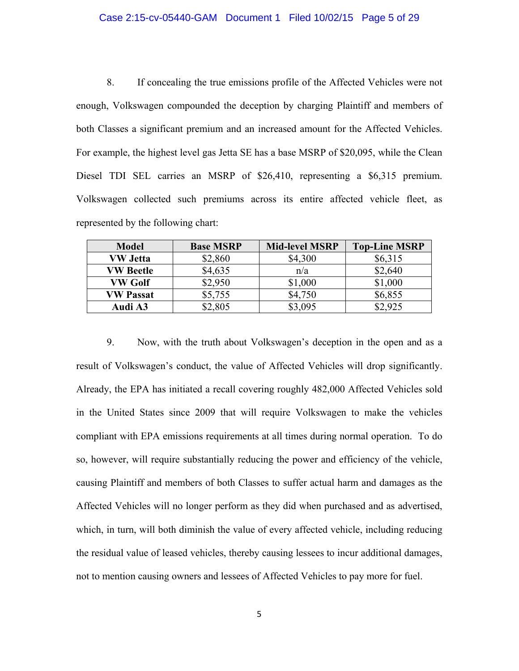#### Case 2:15-cv-05440-GAM Document 1 Filed 10/02/15 Page 5 of 29

8. If concealing the true emissions profile of the Affected Vehicles were not enough, Volkswagen compounded the deception by charging Plaintiff and members of both Classes a significant premium and an increased amount for the Affected Vehicles. For example, the highest level gas Jetta SE has a base MSRP of \$20,095, while the Clean Diesel TDI SEL carries an MSRP of \$26,410, representing a \$6,315 premium. Volkswagen collected such premiums across its entire affected vehicle fleet, as represented by the following chart:

| <b>Model</b>     | <b>Base MSRP</b> | <b>Mid-level MSRP</b> | <b>Top-Line MSRP</b> |
|------------------|------------------|-----------------------|----------------------|
| <b>VW Jetta</b>  | \$2,860          | \$4,300               | \$6,315              |
| <b>VW Beetle</b> | \$4,635          | n/a                   | \$2,640              |
| VW Golf          | \$2,950          | \$1,000               | \$1,000              |
| <b>VW Passat</b> | \$5,755          | \$4,750               | \$6,855              |
| Audi A3          | \$2,805          | \$3,095               | \$2,925              |

9. Now, with the truth about Volkswagen's deception in the open and as a result of Volkswagen's conduct, the value of Affected Vehicles will drop significantly. Already, the EPA has initiated a recall covering roughly 482,000 Affected Vehicles sold in the United States since 2009 that will require Volkswagen to make the vehicles compliant with EPA emissions requirements at all times during normal operation. To do so, however, will require substantially reducing the power and efficiency of the vehicle, causing Plaintiff and members of both Classes to suffer actual harm and damages as the Affected Vehicles will no longer perform as they did when purchased and as advertised, which, in turn, will both diminish the value of every affected vehicle, including reducing the residual value of leased vehicles, thereby causing lessees to incur additional damages, not to mention causing owners and lessees of Affected Vehicles to pay more for fuel.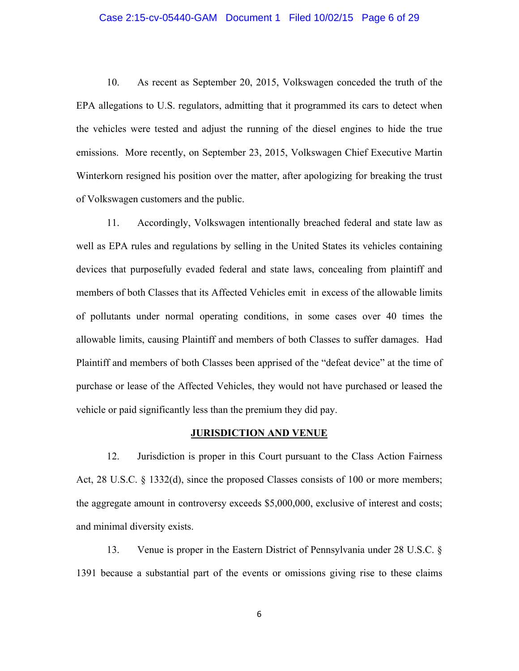#### Case 2:15-cv-05440-GAM Document 1 Filed 10/02/15 Page 6 of 29

10. As recent as September 20, 2015, Volkswagen conceded the truth of the EPA allegations to U.S. regulators, admitting that it programmed its cars to detect when the vehicles were tested and adjust the running of the diesel engines to hide the true emissions. More recently, on September 23, 2015, Volkswagen Chief Executive Martin Winterkorn resigned his position over the matter, after apologizing for breaking the trust of Volkswagen customers and the public.

11. Accordingly, Volkswagen intentionally breached federal and state law as well as EPA rules and regulations by selling in the United States its vehicles containing devices that purposefully evaded federal and state laws, concealing from plaintiff and members of both Classes that its Affected Vehicles emit in excess of the allowable limits of pollutants under normal operating conditions, in some cases over 40 times the allowable limits, causing Plaintiff and members of both Classes to suffer damages. Had Plaintiff and members of both Classes been apprised of the "defeat device" at the time of purchase or lease of the Affected Vehicles, they would not have purchased or leased the vehicle or paid significantly less than the premium they did pay.

## **JURISDICTION AND VENUE**

12. Jurisdiction is proper in this Court pursuant to the Class Action Fairness Act, 28 U.S.C. § 1332(d), since the proposed Classes consists of 100 or more members; the aggregate amount in controversy exceeds \$5,000,000, exclusive of interest and costs; and minimal diversity exists.

13. Venue is proper in the Eastern District of Pennsylvania under 28 U.S.C. § 1391 because a substantial part of the events or omissions giving rise to these claims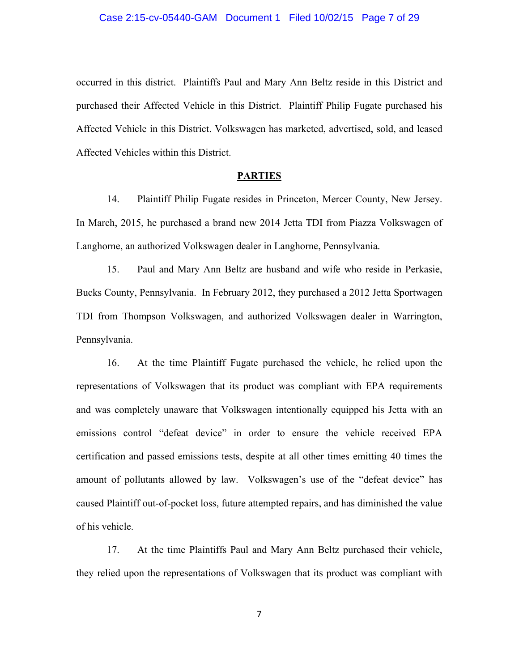#### Case 2:15-cv-05440-GAM Document 1 Filed 10/02/15 Page 7 of 29

occurred in this district. Plaintiffs Paul and Mary Ann Beltz reside in this District and purchased their Affected Vehicle in this District. Plaintiff Philip Fugate purchased his Affected Vehicle in this District. Volkswagen has marketed, advertised, sold, and leased Affected Vehicles within this District.

#### **PARTIES**

14. Plaintiff Philip Fugate resides in Princeton, Mercer County, New Jersey. In March, 2015, he purchased a brand new 2014 Jetta TDI from Piazza Volkswagen of Langhorne, an authorized Volkswagen dealer in Langhorne, Pennsylvania.

15. Paul and Mary Ann Beltz are husband and wife who reside in Perkasie, Bucks County, Pennsylvania. In February 2012, they purchased a 2012 Jetta Sportwagen TDI from Thompson Volkswagen, and authorized Volkswagen dealer in Warrington, Pennsylvania.

16. At the time Plaintiff Fugate purchased the vehicle, he relied upon the representations of Volkswagen that its product was compliant with EPA requirements and was completely unaware that Volkswagen intentionally equipped his Jetta with an emissions control "defeat device" in order to ensure the vehicle received EPA certification and passed emissions tests, despite at all other times emitting 40 times the amount of pollutants allowed by law. Volkswagen's use of the "defeat device" has caused Plaintiff out-of-pocket loss, future attempted repairs, and has diminished the value of his vehicle.

17. At the time Plaintiffs Paul and Mary Ann Beltz purchased their vehicle, they relied upon the representations of Volkswagen that its product was compliant with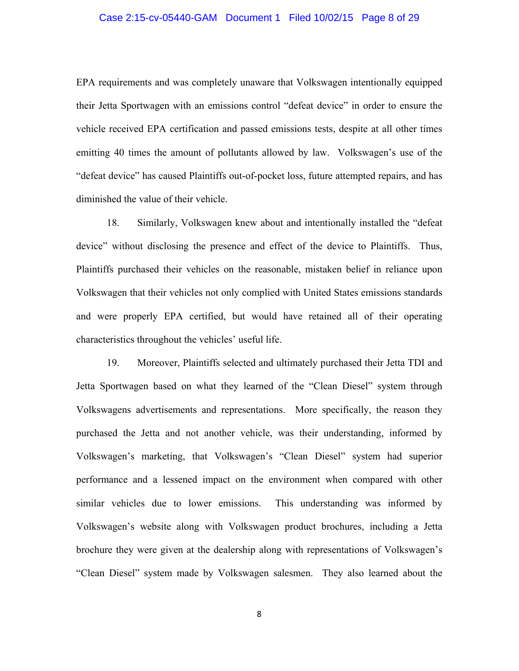#### Case 2:15-cv-05440-GAM Document 1 Filed 10/02/15 Page 8 of 29

EPA requirements and was completely unaware that Volkswagen intentionally equipped their Jetta Sportwagen with an emissions control "defeat device" in order to ensure the vehicle received EPA certification and passed emissions tests, despite at all other times emitting 40 times the amount of pollutants allowed by law. Volkswagen's use of the "defeat device" has caused Plaintiffs out-of-pocket loss, future attempted repairs, and has diminished the value of their vehicle.

18. Similarly, Volkswagen knew about and intentionally installed the "defeat device" without disclosing the presence and effect of the device to Plaintiffs. Thus, Plaintiffs purchased their vehicles on the reasonable, mistaken belief in reliance upon Volkswagen that their vehicles not only complied with United States emissions standards and were properly EPA certified, but would have retained all of their operating characteristics throughout the vehicles' useful life.

19. Moreover, Plaintiffs selected and ultimately purchased their Jetta TDI and Jetta Sportwagen based on what they learned of the "Clean Diesel" system through Volkswagens advertisements and representations. More specifically, the reason they purchased the Jetta and not another vehicle, was their understanding, informed by Volkswagen's marketing, that Volkswagen's "Clean Diesel" system had superior performance and a lessened impact on the environment when compared with other similar vehicles due to lower emissions. This understanding was informed by Volkswagen's website along with Volkswagen product brochures, including a Jetta brochure they were given at the dealership along with representations of Volkswagen's "Clean Diesel" system made by Volkswagen salesmen. They also learned about the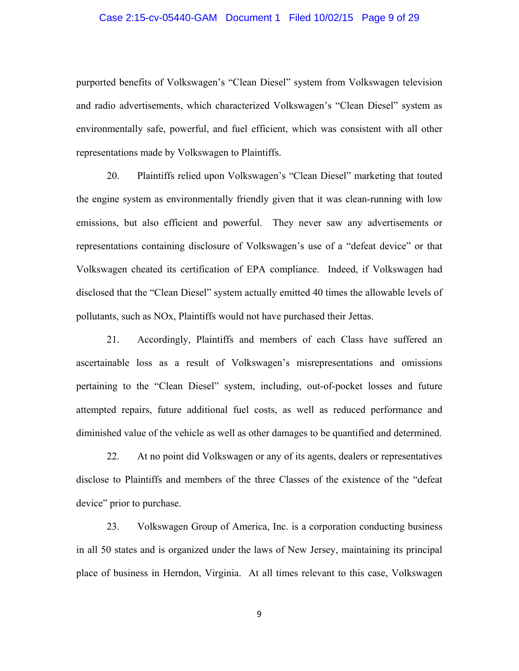#### Case 2:15-cv-05440-GAM Document 1 Filed 10/02/15 Page 9 of 29

purported benefits of Volkswagen's "Clean Diesel" system from Volkswagen television and radio advertisements, which characterized Volkswagen's "Clean Diesel" system as environmentally safe, powerful, and fuel efficient, which was consistent with all other representations made by Volkswagen to Plaintiffs.

20. Plaintiffs relied upon Volkswagen's "Clean Diesel" marketing that touted the engine system as environmentally friendly given that it was clean-running with low emissions, but also efficient and powerful. They never saw any advertisements or representations containing disclosure of Volkswagen's use of a "defeat device" or that Volkswagen cheated its certification of EPA compliance. Indeed, if Volkswagen had disclosed that the "Clean Diesel" system actually emitted 40 times the allowable levels of pollutants, such as NOx, Plaintiffs would not have purchased their Jettas.

21. Accordingly, Plaintiffs and members of each Class have suffered an ascertainable loss as a result of Volkswagen's misrepresentations and omissions pertaining to the "Clean Diesel" system, including, out-of-pocket losses and future attempted repairs, future additional fuel costs, as well as reduced performance and diminished value of the vehicle as well as other damages to be quantified and determined.

22. At no point did Volkswagen or any of its agents, dealers or representatives disclose to Plaintiffs and members of the three Classes of the existence of the "defeat device" prior to purchase.

23. Volkswagen Group of America, Inc. is a corporation conducting business in all 50 states and is organized under the laws of New Jersey, maintaining its principal place of business in Herndon, Virginia. At all times relevant to this case, Volkswagen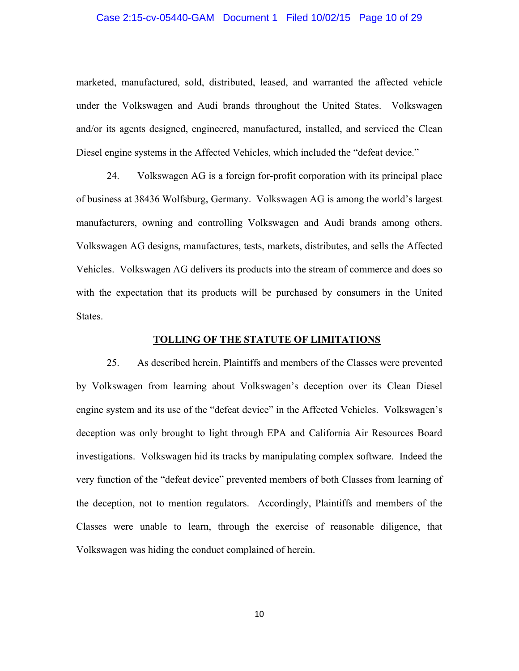#### Case 2:15-cv-05440-GAM Document 1 Filed 10/02/15 Page 10 of 29

marketed, manufactured, sold, distributed, leased, and warranted the affected vehicle under the Volkswagen and Audi brands throughout the United States. Volkswagen and/or its agents designed, engineered, manufactured, installed, and serviced the Clean Diesel engine systems in the Affected Vehicles, which included the "defeat device."

24. Volkswagen AG is a foreign for-profit corporation with its principal place of business at 38436 Wolfsburg, Germany. Volkswagen AG is among the world's largest manufacturers, owning and controlling Volkswagen and Audi brands among others. Volkswagen AG designs, manufactures, tests, markets, distributes, and sells the Affected Vehicles. Volkswagen AG delivers its products into the stream of commerce and does so with the expectation that its products will be purchased by consumers in the United States.

#### **TOLLING OF THE STATUTE OF LIMITATIONS**

25. As described herein, Plaintiffs and members of the Classes were prevented by Volkswagen from learning about Volkswagen's deception over its Clean Diesel engine system and its use of the "defeat device" in the Affected Vehicles. Volkswagen's deception was only brought to light through EPA and California Air Resources Board investigations. Volkswagen hid its tracks by manipulating complex software. Indeed the very function of the "defeat device" prevented members of both Classes from learning of the deception, not to mention regulators. Accordingly, Plaintiffs and members of the Classes were unable to learn, through the exercise of reasonable diligence, that Volkswagen was hiding the conduct complained of herein.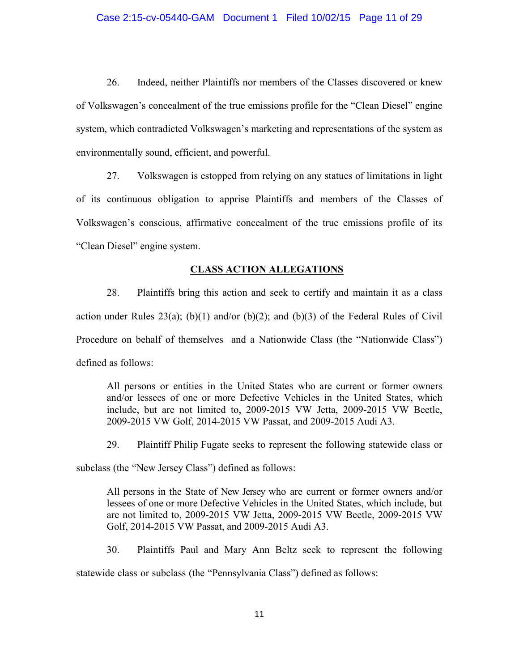#### Case 2:15-cv-05440-GAM Document 1 Filed 10/02/15 Page 11 of 29

26. Indeed, neither Plaintiffs nor members of the Classes discovered or knew of Volkswagen's concealment of the true emissions profile for the "Clean Diesel" engine system, which contradicted Volkswagen's marketing and representations of the system as environmentally sound, efficient, and powerful.

27. Volkswagen is estopped from relying on any statues of limitations in light of its continuous obligation to apprise Plaintiffs and members of the Classes of Volkswagen's conscious, affirmative concealment of the true emissions profile of its "Clean Diesel" engine system.

#### **CLASS ACTION ALLEGATIONS**

28. Plaintiffs bring this action and seek to certify and maintain it as a class action under Rules 23(a); (b)(1) and/or (b)(2); and (b)(3) of the Federal Rules of Civil Procedure on behalf of themselves and a Nationwide Class (the "Nationwide Class") defined as follows:

All persons or entities in the United States who are current or former owners and/or lessees of one or more Defective Vehicles in the United States, which include, but are not limited to, 2009-2015 VW Jetta, 2009-2015 VW Beetle, 2009-2015 VW Golf, 2014-2015 VW Passat, and 2009-2015 Audi A3.

29. Plaintiff Philip Fugate seeks to represent the following statewide class or

subclass (the "New Jersey Class") defined as follows:

All persons in the State of New Jersey who are current or former owners and/or lessees of one or more Defective Vehicles in the United States, which include, but are not limited to, 2009-2015 VW Jetta, 2009-2015 VW Beetle, 2009-2015 VW Golf, 2014-2015 VW Passat, and 2009-2015 Audi A3.

30. Plaintiffs Paul and Mary Ann Beltz seek to represent the following

statewide class or subclass (the "Pennsylvania Class") defined as follows: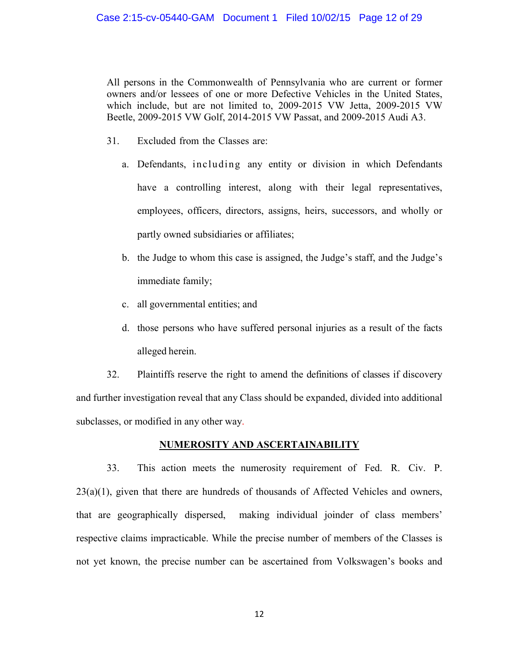All persons in the Commonwealth of Pennsylvania who are current or former owners and/or lessees of one or more Defective Vehicles in the United States, which include, but are not limited to, 2009-2015 VW Jetta, 2009-2015 VW Beetle, 2009-2015 VW Golf, 2014-2015 VW Passat, and 2009-2015 Audi A3.

- 31. Excluded from the Classes are:
	- a. Defendants, including any entity or division in which Defendants have a controlling interest, along with their legal representatives, employees, officers, directors, assigns, heirs, successors, and wholly or partly owned subsidiaries or affiliates;
	- b. the Judge to whom this case is assigned, the Judge's staff, and the Judge's immediate family;
	- c. all governmental entities; and
	- d. those persons who have suffered personal injuries as a result of the facts alleged herein.

32. Plaintiffs reserve the right to amend the definitions of classes if discovery and further investigation reveal that any Class should be expanded, divided into additional subclasses, or modified in any other way.

## **NUMEROSITY AND ASCERTAINABILITY**

33. This action meets the numerosity requirement of Fed. R. Civ. P.  $23(a)(1)$ , given that there are hundreds of thousands of Affected Vehicles and owners, that are geographically dispersed, making individual joinder of class members' respective claims impracticable. While the precise number of members of the Classes is not yet known, the precise number can be ascertained from Volkswagen's books and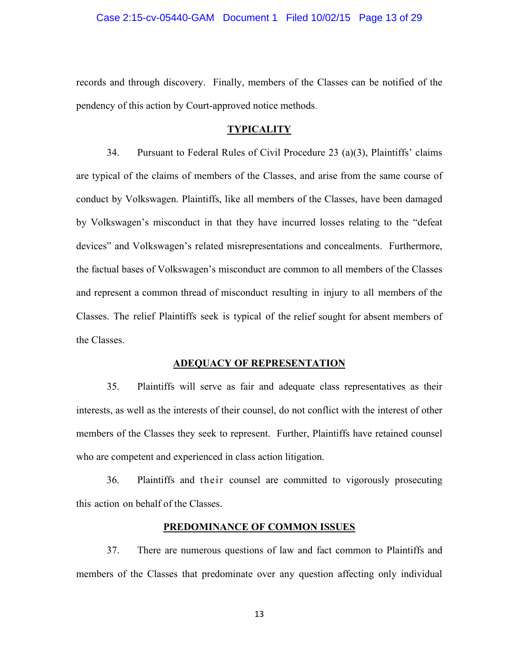#### Case 2:15-cv-05440-GAM Document 1 Filed 10/02/15 Page 13 of 29

records and through discovery. Finally, members of the Classes can be notified of the pendency of this action by Court-approved notice methods.

#### **TYPICALITY**

34. Pursuant to Federal Rules of Civil Procedure 23 (a)(3), Plaintiffs' claims are typical of the claims of members of the Classes, and arise from the same course of conduct by Volkswagen. Plaintiffs, like all members of the Classes, have been damaged by Volkswagen's misconduct in that they have incurred losses relating to the "defeat devices" and Volkswagen's related misrepresentations and concealments. Furthermore, the factual bases of Volkswagen's misconduct are common to all members of the Classes and represent a common thread of misconduct resulting in injury to all members of the Classes. The relief Plaintiffs seek is typical of the relief sought for absent members of the Classes.

#### **ADEQUACY OF REPRESENTATION**

35. Plaintiffs will serve as fair and adequate class representatives as their interests, as well as the interests of their counsel, do not conflict with the interest of other members of the Classes they seek to represent. Further, Plaintiffs have retained counsel who are competent and experienced in class action litigation.

36. Plaintiffs and their counsel are committed to vigorously prosecuting this action on behalf of the Classes.

## **PREDOMINANCE OF COMMON ISSUES**

37. There are numerous questions of law and fact common to Plaintiffs and members of the Classes that predominate over any question affecting only individual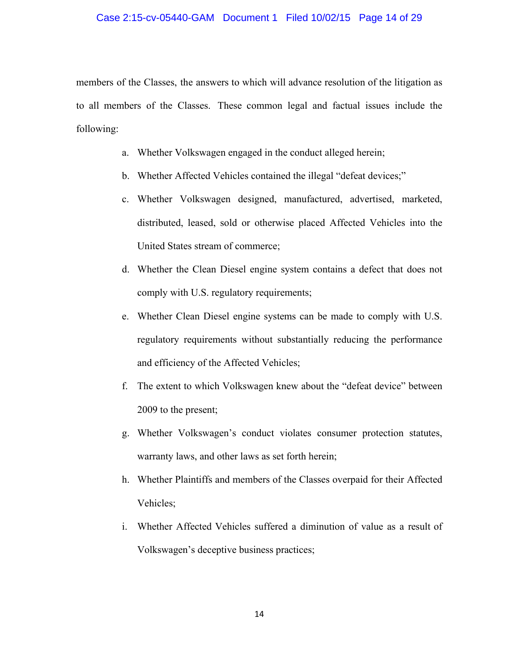#### Case 2:15-cv-05440-GAM Document 1 Filed 10/02/15 Page 14 of 29

members of the Classes, the answers to which will advance resolution of the litigation as to all members of the Classes. These common legal and factual issues include the following:

- a. Whether Volkswagen engaged in the conduct alleged herein;
- b. Whether Affected Vehicles contained the illegal "defeat devices;"
- c. Whether Volkswagen designed, manufactured, advertised, marketed, distributed, leased, sold or otherwise placed Affected Vehicles into the United States stream of commerce;
- d. Whether the Clean Diesel engine system contains a defect that does not comply with U.S. regulatory requirements;
- e. Whether Clean Diesel engine systems can be made to comply with U.S. regulatory requirements without substantially reducing the performance and efficiency of the Affected Vehicles;
- f. The extent to which Volkswagen knew about the "defeat device" between 2009 to the present;
- g. Whether Volkswagen's conduct violates consumer protection statutes, warranty laws, and other laws as set forth herein;
- h. Whether Plaintiffs and members of the Classes overpaid for their Affected Vehicles;
- i. Whether Affected Vehicles suffered a diminution of value as a result of Volkswagen's deceptive business practices;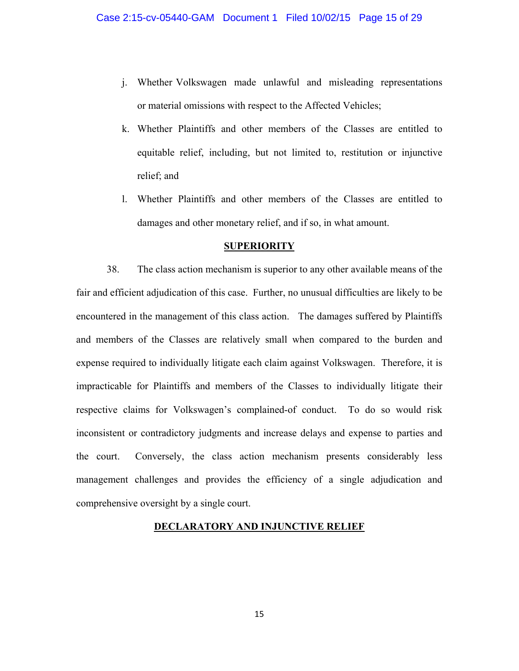- j. Whether Volkswagen made unlawful and misleading representations or material omissions with respect to the Affected Vehicles;
- k. Whether Plaintiffs and other members of the Classes are entitled to equitable relief, including, but not limited to, restitution or injunctive relief; and
- l. Whether Plaintiffs and other members of the Classes are entitled to damages and other monetary relief, and if so, in what amount.

#### **SUPERIORITY**

38. The class action mechanism is superior to any other available means of the fair and efficient adjudication of this case. Further, no unusual difficulties are likely to be encountered in the management of this class action. The damages suffered by Plaintiffs and members of the Classes are relatively small when compared to the burden and expense required to individually litigate each claim against Volkswagen. Therefore, it is impracticable for Plaintiffs and members of the Classes to individually litigate their respective claims for Volkswagen's complained-of conduct. To do so would risk inconsistent or contradictory judgments and increase delays and expense to parties and the court. Conversely, the class action mechanism presents considerably less management challenges and provides the efficiency of a single adjudication and comprehensive oversight by a single court.

# **DECLARATORY AND INJUNCTIVE RELIEF**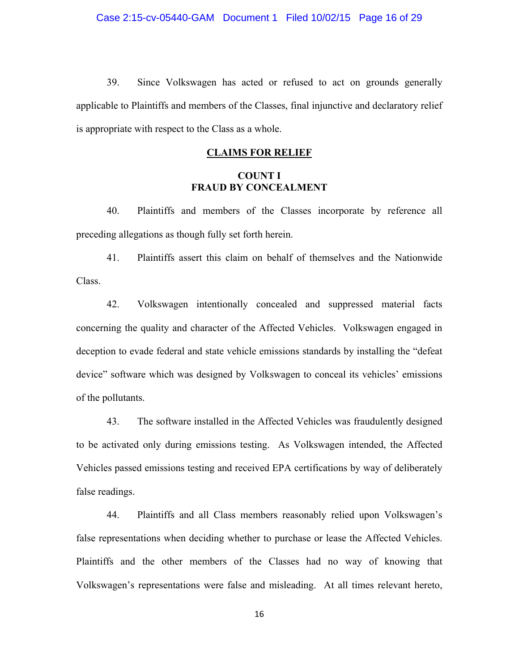39. Since Volkswagen has acted or refused to act on grounds generally applicable to Plaintiffs and members of the Classes, final injunctive and declaratory relief is appropriate with respect to the Class as a whole.

#### **CLAIMS FOR RELIEF**

## **COUNT I FRAUD BY CONCEALMENT**

40. Plaintiffs and members of the Classes incorporate by reference all preceding allegations as though fully set forth herein.

41. Plaintiffs assert this claim on behalf of themselves and the Nationwide Class.

42. Volkswagen intentionally concealed and suppressed material facts concerning the quality and character of the Affected Vehicles. Volkswagen engaged in deception to evade federal and state vehicle emissions standards by installing the "defeat device" software which was designed by Volkswagen to conceal its vehicles' emissions of the pollutants.

43. The software installed in the Affected Vehicles was fraudulently designed to be activated only during emissions testing. As Volkswagen intended, the Affected Vehicles passed emissions testing and received EPA certifications by way of deliberately false readings.

44. Plaintiffs and all Class members reasonably relied upon Volkswagen's false representations when deciding whether to purchase or lease the Affected Vehicles. Plaintiffs and the other members of the Classes had no way of knowing that Volkswagen's representations were false and misleading. At all times relevant hereto,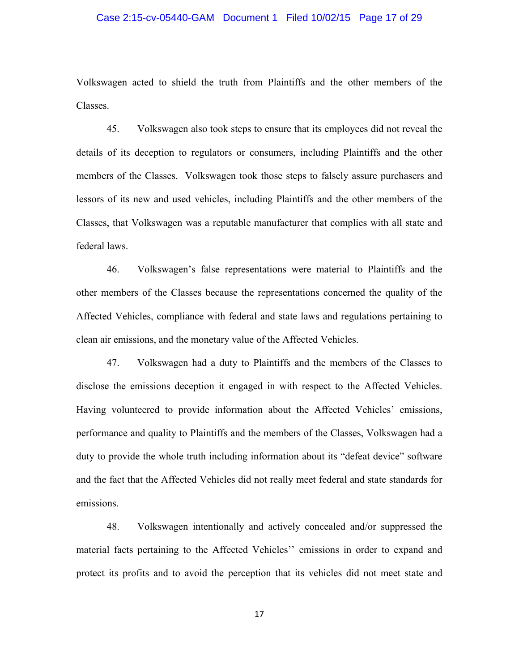#### Case 2:15-cv-05440-GAM Document 1 Filed 10/02/15 Page 17 of 29

Volkswagen acted to shield the truth from Plaintiffs and the other members of the Classes.

45. Volkswagen also took steps to ensure that its employees did not reveal the details of its deception to regulators or consumers, including Plaintiffs and the other members of the Classes. Volkswagen took those steps to falsely assure purchasers and lessors of its new and used vehicles, including Plaintiffs and the other members of the Classes, that Volkswagen was a reputable manufacturer that complies with all state and federal laws.

46. Volkswagen's false representations were material to Plaintiffs and the other members of the Classes because the representations concerned the quality of the Affected Vehicles, compliance with federal and state laws and regulations pertaining to clean air emissions, and the monetary value of the Affected Vehicles.

47. Volkswagen had a duty to Plaintiffs and the members of the Classes to disclose the emissions deception it engaged in with respect to the Affected Vehicles. Having volunteered to provide information about the Affected Vehicles' emissions, performance and quality to Plaintiffs and the members of the Classes, Volkswagen had a duty to provide the whole truth including information about its "defeat device" software and the fact that the Affected Vehicles did not really meet federal and state standards for emissions.

48. Volkswagen intentionally and actively concealed and/or suppressed the material facts pertaining to the Affected Vehicles'' emissions in order to expand and protect its profits and to avoid the perception that its vehicles did not meet state and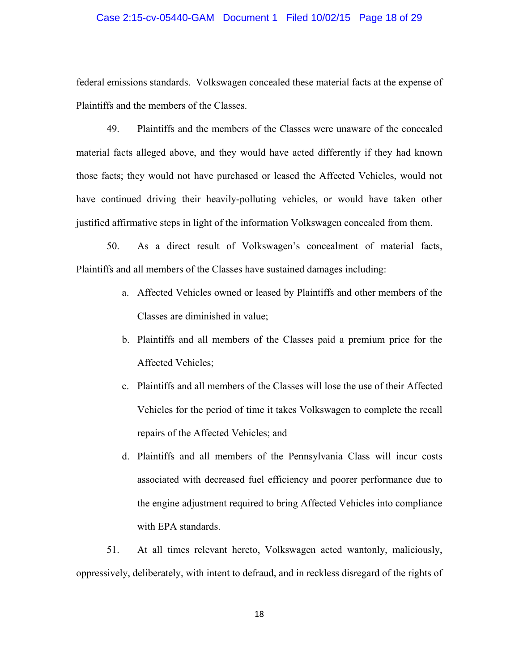## Case 2:15-cv-05440-GAM Document 1 Filed 10/02/15 Page 18 of 29

federal emissions standards. Volkswagen concealed these material facts at the expense of Plaintiffs and the members of the Classes.

49. Plaintiffs and the members of the Classes were unaware of the concealed material facts alleged above, and they would have acted differently if they had known those facts; they would not have purchased or leased the Affected Vehicles, would not have continued driving their heavily-polluting vehicles, or would have taken other justified affirmative steps in light of the information Volkswagen concealed from them.

50. As a direct result of Volkswagen's concealment of material facts, Plaintiffs and all members of the Classes have sustained damages including:

- a. Affected Vehicles owned or leased by Plaintiffs and other members of the Classes are diminished in value;
- b. Plaintiffs and all members of the Classes paid a premium price for the Affected Vehicles;
- c. Plaintiffs and all members of the Classes will lose the use of their Affected Vehicles for the period of time it takes Volkswagen to complete the recall repairs of the Affected Vehicles; and
- d. Plaintiffs and all members of the Pennsylvania Class will incur costs associated with decreased fuel efficiency and poorer performance due to the engine adjustment required to bring Affected Vehicles into compliance with EPA standards.

51. At all times relevant hereto, Volkswagen acted wantonly, maliciously, oppressively, deliberately, with intent to defraud, and in reckless disregard of the rights of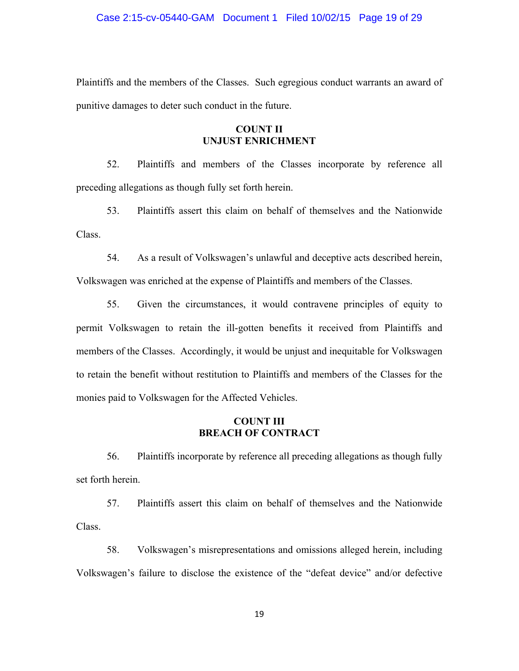Plaintiffs and the members of the Classes. Such egregious conduct warrants an award of punitive damages to deter such conduct in the future.

## **COUNT II UNJUST ENRICHMENT**

52. Plaintiffs and members of the Classes incorporate by reference all preceding allegations as though fully set forth herein.

53. Plaintiffs assert this claim on behalf of themselves and the Nationwide Class.

54. As a result of Volkswagen's unlawful and deceptive acts described herein, Volkswagen was enriched at the expense of Plaintiffs and members of the Classes.

55. Given the circumstances, it would contravene principles of equity to permit Volkswagen to retain the ill-gotten benefits it received from Plaintiffs and members of the Classes. Accordingly, it would be unjust and inequitable for Volkswagen to retain the benefit without restitution to Plaintiffs and members of the Classes for the monies paid to Volkswagen for the Affected Vehicles.

# **COUNT III BREACH OF CONTRACT**

56. Plaintiffs incorporate by reference all preceding allegations as though fully set forth herein.

57. Plaintiffs assert this claim on behalf of themselves and the Nationwide Class.

58. Volkswagen's misrepresentations and omissions alleged herein, including Volkswagen's failure to disclose the existence of the "defeat device" and/or defective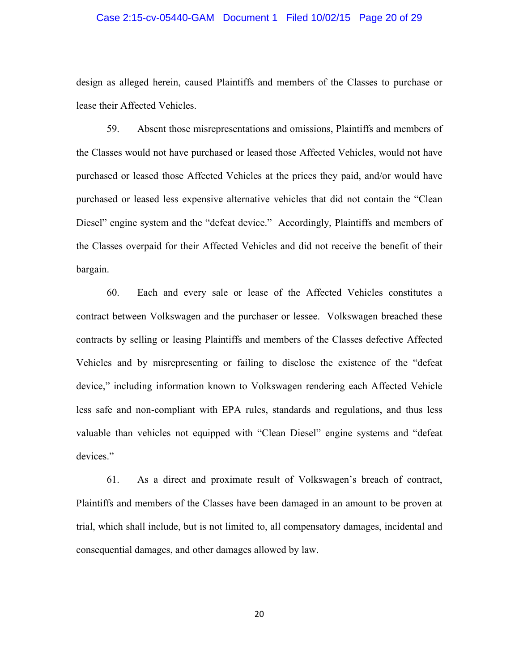#### Case 2:15-cv-05440-GAM Document 1 Filed 10/02/15 Page 20 of 29

design as alleged herein, caused Plaintiffs and members of the Classes to purchase or lease their Affected Vehicles.

59. Absent those misrepresentations and omissions, Plaintiffs and members of the Classes would not have purchased or leased those Affected Vehicles, would not have purchased or leased those Affected Vehicles at the prices they paid, and/or would have purchased or leased less expensive alternative vehicles that did not contain the "Clean Diesel" engine system and the "defeat device." Accordingly, Plaintiffs and members of the Classes overpaid for their Affected Vehicles and did not receive the benefit of their bargain.

60. Each and every sale or lease of the Affected Vehicles constitutes a contract between Volkswagen and the purchaser or lessee. Volkswagen breached these contracts by selling or leasing Plaintiffs and members of the Classes defective Affected Vehicles and by misrepresenting or failing to disclose the existence of the "defeat device," including information known to Volkswagen rendering each Affected Vehicle less safe and non-compliant with EPA rules, standards and regulations, and thus less valuable than vehicles not equipped with "Clean Diesel" engine systems and "defeat devices."

61. As a direct and proximate result of Volkswagen's breach of contract, Plaintiffs and members of the Classes have been damaged in an amount to be proven at trial, which shall include, but is not limited to, all compensatory damages, incidental and consequential damages, and other damages allowed by law.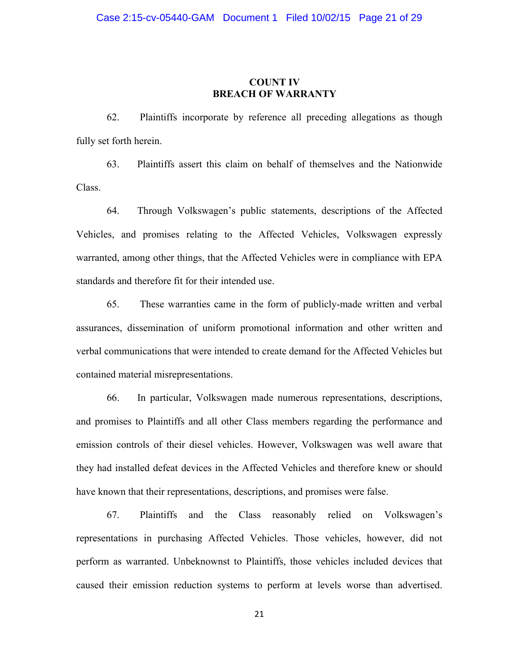## **COUNT IV BREACH OF WARRANTY**

62. Plaintiffs incorporate by reference all preceding allegations as though fully set forth herein.

63. Plaintiffs assert this claim on behalf of themselves and the Nationwide Class.

64. Through Volkswagen's public statements, descriptions of the Affected Vehicles, and promises relating to the Affected Vehicles, Volkswagen expressly warranted, among other things, that the Affected Vehicles were in compliance with EPA standards and therefore fit for their intended use.

65. These warranties came in the form of publicly-made written and verbal assurances, dissemination of uniform promotional information and other written and verbal communications that were intended to create demand for the Affected Vehicles but contained material misrepresentations.

66. In particular, Volkswagen made numerous representations, descriptions, and promises to Plaintiffs and all other Class members regarding the performance and emission controls of their diesel vehicles. However, Volkswagen was well aware that they had installed defeat devices in the Affected Vehicles and therefore knew or should have known that their representations, descriptions, and promises were false.

67. Plaintiffs and the Class reasonably relied on Volkswagen's representations in purchasing Affected Vehicles. Those vehicles, however, did not perform as warranted. Unbeknownst to Plaintiffs, those vehicles included devices that caused their emission reduction systems to perform at levels worse than advertised.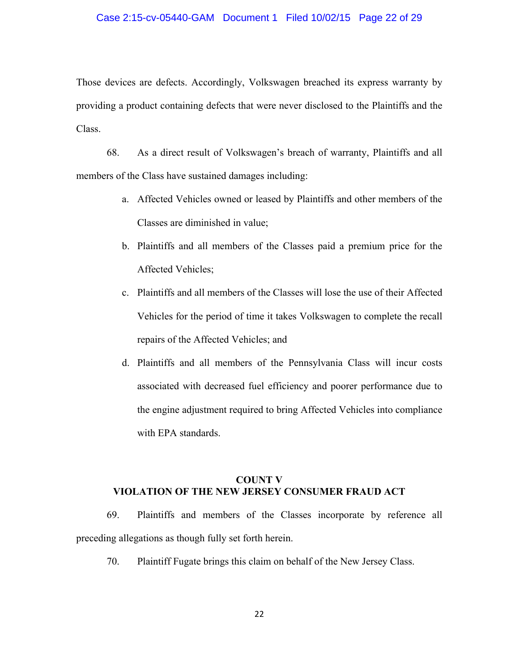#### Case 2:15-cv-05440-GAM Document 1 Filed 10/02/15 Page 22 of 29

Those devices are defects. Accordingly, Volkswagen breached its express warranty by providing a product containing defects that were never disclosed to the Plaintiffs and the Class.

68. As a direct result of Volkswagen's breach of warranty, Plaintiffs and all members of the Class have sustained damages including:

- a. Affected Vehicles owned or leased by Plaintiffs and other members of the Classes are diminished in value;
- b. Plaintiffs and all members of the Classes paid a premium price for the Affected Vehicles;
- c. Plaintiffs and all members of the Classes will lose the use of their Affected Vehicles for the period of time it takes Volkswagen to complete the recall repairs of the Affected Vehicles; and
- d. Plaintiffs and all members of the Pennsylvania Class will incur costs associated with decreased fuel efficiency and poorer performance due to the engine adjustment required to bring Affected Vehicles into compliance with EPA standards.

# **COUNT V VIOLATION OF THE NEW JERSEY CONSUMER FRAUD ACT**

69. Plaintiffs and members of the Classes incorporate by reference all preceding allegations as though fully set forth herein.

70. Plaintiff Fugate brings this claim on behalf of the New Jersey Class.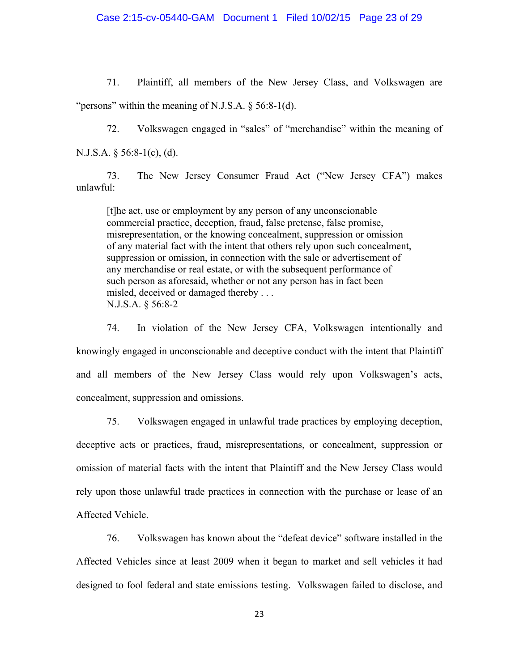#### Case 2:15-cv-05440-GAM Document 1 Filed 10/02/15 Page 23 of 29

71. Plaintiff, all members of the New Jersey Class, and Volkswagen are "persons" within the meaning of N.J.S.A.  $\S$  56:8-1(d).

72. Volkswagen engaged in "sales" of "merchandise" within the meaning of N.J.S.A. § 56:8-1(c), (d).

73. The New Jersey Consumer Fraud Act ("New Jersey CFA") makes unlawful:

[t]he act, use or employment by any person of any unconscionable commercial practice, deception, fraud, false pretense, false promise, misrepresentation, or the knowing concealment, suppression or omission of any material fact with the intent that others rely upon such concealment, suppression or omission, in connection with the sale or advertisement of any merchandise or real estate, or with the subsequent performance of such person as aforesaid, whether or not any person has in fact been misled, deceived or damaged thereby . . . N.J.S.A. § 56:8-2

74. In violation of the New Jersey CFA, Volkswagen intentionally and knowingly engaged in unconscionable and deceptive conduct with the intent that Plaintiff and all members of the New Jersey Class would rely upon Volkswagen's acts, concealment, suppression and omissions.

75. Volkswagen engaged in unlawful trade practices by employing deception, deceptive acts or practices, fraud, misrepresentations, or concealment, suppression or omission of material facts with the intent that Plaintiff and the New Jersey Class would rely upon those unlawful trade practices in connection with the purchase or lease of an Affected Vehicle.

76. Volkswagen has known about the "defeat device" software installed in the Affected Vehicles since at least 2009 when it began to market and sell vehicles it had designed to fool federal and state emissions testing. Volkswagen failed to disclose, and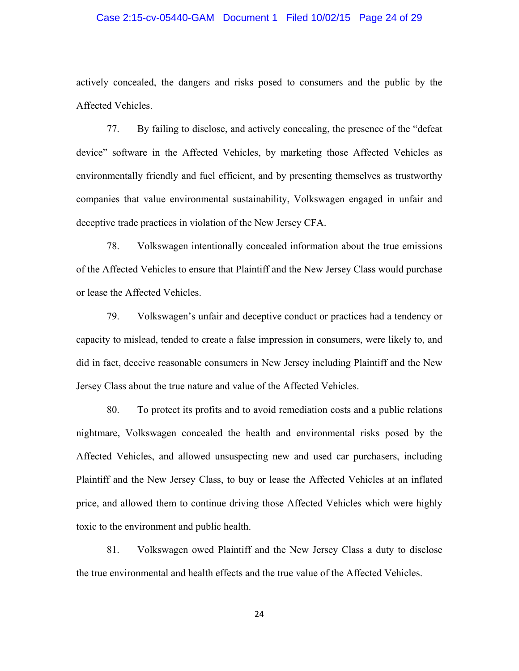#### Case 2:15-cv-05440-GAM Document 1 Filed 10/02/15 Page 24 of 29

actively concealed, the dangers and risks posed to consumers and the public by the Affected Vehicles.

77. By failing to disclose, and actively concealing, the presence of the "defeat device" software in the Affected Vehicles, by marketing those Affected Vehicles as environmentally friendly and fuel efficient, and by presenting themselves as trustworthy companies that value environmental sustainability, Volkswagen engaged in unfair and deceptive trade practices in violation of the New Jersey CFA.

78. Volkswagen intentionally concealed information about the true emissions of the Affected Vehicles to ensure that Plaintiff and the New Jersey Class would purchase or lease the Affected Vehicles.

79. Volkswagen's unfair and deceptive conduct or practices had a tendency or capacity to mislead, tended to create a false impression in consumers, were likely to, and did in fact, deceive reasonable consumers in New Jersey including Plaintiff and the New Jersey Class about the true nature and value of the Affected Vehicles.

80. To protect its profits and to avoid remediation costs and a public relations nightmare, Volkswagen concealed the health and environmental risks posed by the Affected Vehicles, and allowed unsuspecting new and used car purchasers, including Plaintiff and the New Jersey Class, to buy or lease the Affected Vehicles at an inflated price, and allowed them to continue driving those Affected Vehicles which were highly toxic to the environment and public health.

81. Volkswagen owed Plaintiff and the New Jersey Class a duty to disclose the true environmental and health effects and the true value of the Affected Vehicles.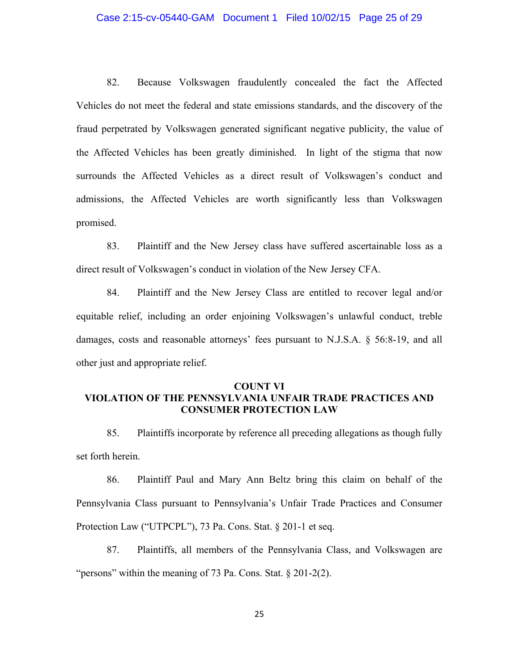#### Case 2:15-cv-05440-GAM Document 1 Filed 10/02/15 Page 25 of 29

82. Because Volkswagen fraudulently concealed the fact the Affected Vehicles do not meet the federal and state emissions standards, and the discovery of the fraud perpetrated by Volkswagen generated significant negative publicity, the value of the Affected Vehicles has been greatly diminished. In light of the stigma that now surrounds the Affected Vehicles as a direct result of Volkswagen's conduct and admissions, the Affected Vehicles are worth significantly less than Volkswagen promised.

83. Plaintiff and the New Jersey class have suffered ascertainable loss as a direct result of Volkswagen's conduct in violation of the New Jersey CFA.

84. Plaintiff and the New Jersey Class are entitled to recover legal and/or equitable relief, including an order enjoining Volkswagen's unlawful conduct, treble damages, costs and reasonable attorneys' fees pursuant to N.J.S.A. § 56:8-19, and all other just and appropriate relief.

#### **COUNT VI**

# **VIOLATION OF THE PENNSYLVANIA UNFAIR TRADE PRACTICES AND CONSUMER PROTECTION LAW**

85. Plaintiffs incorporate by reference all preceding allegations as though fully set forth herein.

86. Plaintiff Paul and Mary Ann Beltz bring this claim on behalf of the Pennsylvania Class pursuant to Pennsylvania's Unfair Trade Practices and Consumer Protection Law ("UTPCPL"), 73 Pa. Cons. Stat. § 201-1 et seq.

87. Plaintiffs, all members of the Pennsylvania Class, and Volkswagen are "persons" within the meaning of 73 Pa. Cons. Stat. § 201-2(2).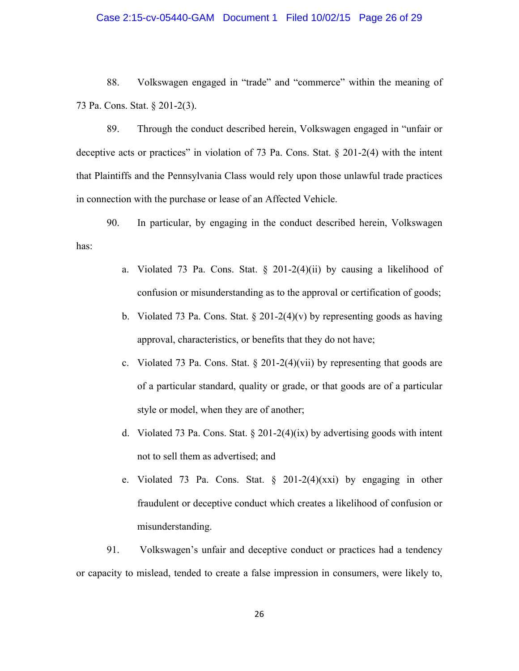#### Case 2:15-cv-05440-GAM Document 1 Filed 10/02/15 Page 26 of 29

88. Volkswagen engaged in "trade" and "commerce" within the meaning of 73 Pa. Cons. Stat. § 201-2(3).

89. Through the conduct described herein, Volkswagen engaged in "unfair or deceptive acts or practices" in violation of 73 Pa. Cons. Stat. § 201-2(4) with the intent that Plaintiffs and the Pennsylvania Class would rely upon those unlawful trade practices in connection with the purchase or lease of an Affected Vehicle.

90. In particular, by engaging in the conduct described herein, Volkswagen has:

- a. Violated 73 Pa. Cons. Stat.  $\S$  201-2(4)(ii) by causing a likelihood of confusion or misunderstanding as to the approval or certification of goods;
- b. Violated 73 Pa. Cons. Stat.  $\S 201-2(4)(v)$  by representing goods as having approval, characteristics, or benefits that they do not have;
- c. Violated 73 Pa. Cons. Stat. § 201-2(4)(vii) by representing that goods are of a particular standard, quality or grade, or that goods are of a particular style or model, when they are of another;
- d. Violated 73 Pa. Cons. Stat. § 201-2(4)(ix) by advertising goods with intent not to sell them as advertised; and
- e. Violated 73 Pa. Cons. Stat. § 201-2(4)(xxi) by engaging in other fraudulent or deceptive conduct which creates a likelihood of confusion or misunderstanding.

91. Volkswagen's unfair and deceptive conduct or practices had a tendency or capacity to mislead, tended to create a false impression in consumers, were likely to,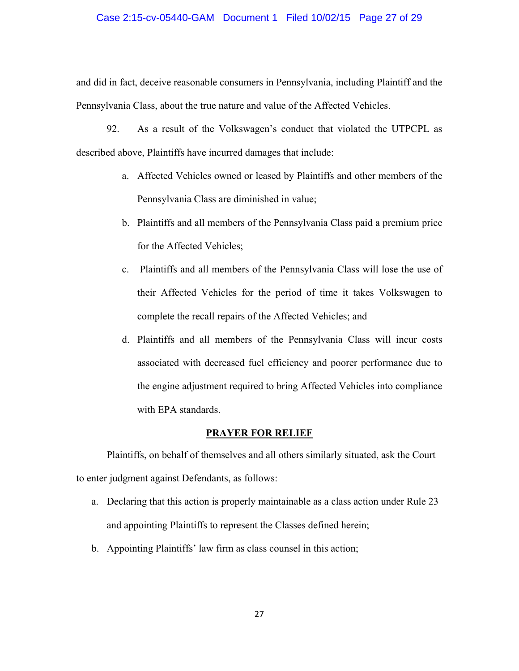#### Case 2:15-cv-05440-GAM Document 1 Filed 10/02/15 Page 27 of 29

and did in fact, deceive reasonable consumers in Pennsylvania, including Plaintiff and the Pennsylvania Class, about the true nature and value of the Affected Vehicles.

92. As a result of the Volkswagen's conduct that violated the UTPCPL as described above, Plaintiffs have incurred damages that include:

- a. Affected Vehicles owned or leased by Plaintiffs and other members of the Pennsylvania Class are diminished in value;
- b. Plaintiffs and all members of the Pennsylvania Class paid a premium price for the Affected Vehicles;
- c. Plaintiffs and all members of the Pennsylvania Class will lose the use of their Affected Vehicles for the period of time it takes Volkswagen to complete the recall repairs of the Affected Vehicles; and
- d. Plaintiffs and all members of the Pennsylvania Class will incur costs associated with decreased fuel efficiency and poorer performance due to the engine adjustment required to bring Affected Vehicles into compliance with EPA standards.

## **PRAYER FOR RELIEF**

 Plaintiffs, on behalf of themselves and all others similarly situated, ask the Court to enter judgment against Defendants, as follows:

- a. Declaring that this action is properly maintainable as a class action under Rule 23 and appointing Plaintiffs to represent the Classes defined herein;
- b. Appointing Plaintiffs' law firm as class counsel in this action;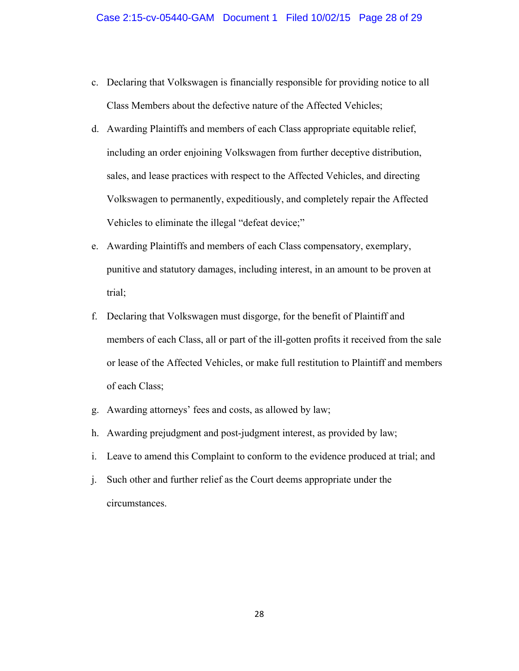- c. Declaring that Volkswagen is financially responsible for providing notice to all Class Members about the defective nature of the Affected Vehicles;
- d. Awarding Plaintiffs and members of each Class appropriate equitable relief, including an order enjoining Volkswagen from further deceptive distribution, sales, and lease practices with respect to the Affected Vehicles, and directing Volkswagen to permanently, expeditiously, and completely repair the Affected Vehicles to eliminate the illegal "defeat device;"
- e. Awarding Plaintiffs and members of each Class compensatory, exemplary, punitive and statutory damages, including interest, in an amount to be proven at trial;
- f. Declaring that Volkswagen must disgorge, for the benefit of Plaintiff and members of each Class, all or part of the ill-gotten profits it received from the sale or lease of the Affected Vehicles, or make full restitution to Plaintiff and members of each Class;
- g. Awarding attorneys' fees and costs, as allowed by law;
- h. Awarding prejudgment and post-judgment interest, as provided by law;
- i. Leave to amend this Complaint to conform to the evidence produced at trial; and
- j. Such other and further relief as the Court deems appropriate under the circumstances.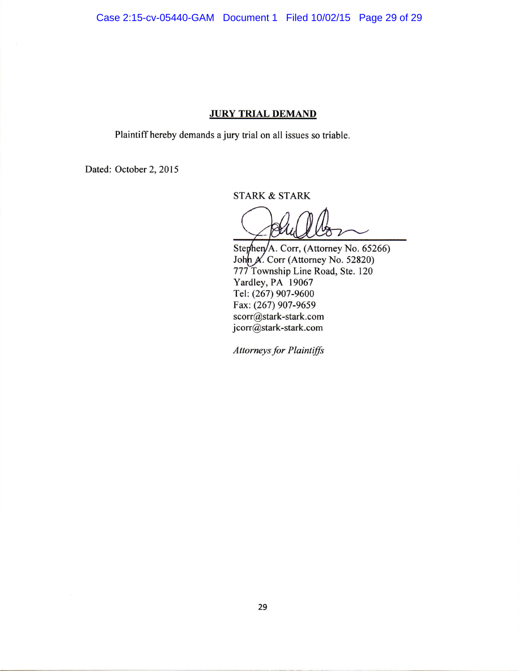Case 2:15-cv-05440-GAM Document 1 Filed 10/02/15 Page 29 of 29

# **JURY TRIAL DEMAND**

Plaintiff hereby demands a jury trial on all issues so triable.

Dated: October 2, 2015

**STARK & STARK** 

Stephen/A. Corr, (Attorney No. 65266) John X. Corr (Attorney No. 52820) 777 Township Line Road, Ste. 120 Yardley, PA 19067 Tel: (267) 907-9600 Fax: (267) 907-9659 scorr@stark-stark.com jcorr@stark-stark.com

**Attorneys for Plaintiffs**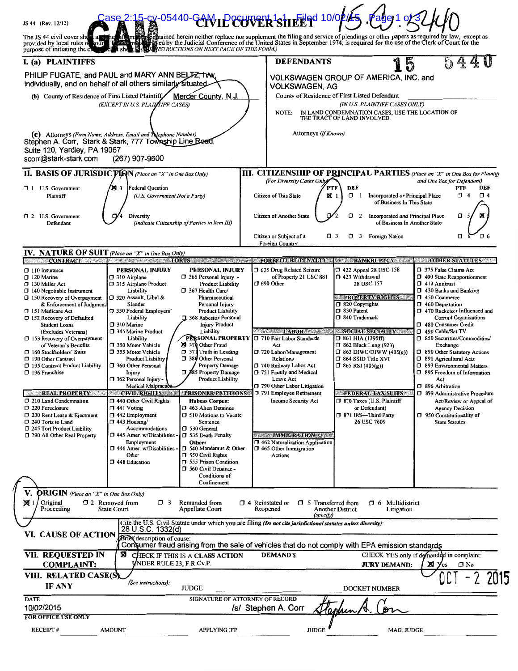| JS 44 (Rev. 12/12)                                                                                                                                                                                                                                                                                                                                                                                                                                                                                                                                                                                                                        | ase 2:15-cx-05440-GAMIDecuvent 1silEE                                                                                                                                                                                                                                                                                                                                                                                                                                                                                                                                                                                                                                                                                                                                                                                                                                                                                                                                                                                                                                                                                                                                                                                                                                                                                                                                            |                                                                                                                                                                                                                                                                                                                                                                                                                                     | Filed 10/02/ <b>45</b>                                                                                                                                                                                                                                                                                                                                                                                                                                 |                                                                                                                                                                                                                                                                                                                                                                                                                                                                                                                                                                                                   |
|-------------------------------------------------------------------------------------------------------------------------------------------------------------------------------------------------------------------------------------------------------------------------------------------------------------------------------------------------------------------------------------------------------------------------------------------------------------------------------------------------------------------------------------------------------------------------------------------------------------------------------------------|----------------------------------------------------------------------------------------------------------------------------------------------------------------------------------------------------------------------------------------------------------------------------------------------------------------------------------------------------------------------------------------------------------------------------------------------------------------------------------------------------------------------------------------------------------------------------------------------------------------------------------------------------------------------------------------------------------------------------------------------------------------------------------------------------------------------------------------------------------------------------------------------------------------------------------------------------------------------------------------------------------------------------------------------------------------------------------------------------------------------------------------------------------------------------------------------------------------------------------------------------------------------------------------------------------------------------------------------------------------------------------|-------------------------------------------------------------------------------------------------------------------------------------------------------------------------------------------------------------------------------------------------------------------------------------------------------------------------------------------------------------------------------------------------------------------------------------|--------------------------------------------------------------------------------------------------------------------------------------------------------------------------------------------------------------------------------------------------------------------------------------------------------------------------------------------------------------------------------------------------------------------------------------------------------|---------------------------------------------------------------------------------------------------------------------------------------------------------------------------------------------------------------------------------------------------------------------------------------------------------------------------------------------------------------------------------------------------------------------------------------------------------------------------------------------------------------------------------------------------------------------------------------------------|
| tour<br>purpose of initiating the ch                                                                                                                                                                                                                                                                                                                                                                                                                                                                                                                                                                                                      | The JS 44 civil cover shells are the offerment and derein neither replace nor supplement the filing and service of pleadings or other papers as required by law, except as provided by local rules of court for the United Sta<br>L 図 A题E WSTRUCTIONS ON NEXT PAGE OF THIS FORM.)<br>∧el ¶t she                                                                                                                                                                                                                                                                                                                                                                                                                                                                                                                                                                                                                                                                                                                                                                                                                                                                                                                                                                                                                                                                                  |                                                                                                                                                                                                                                                                                                                                                                                                                                     |                                                                                                                                                                                                                                                                                                                                                                                                                                                        |                                                                                                                                                                                                                                                                                                                                                                                                                                                                                                                                                                                                   |
| I. (a) PLAINTIFFS                                                                                                                                                                                                                                                                                                                                                                                                                                                                                                                                                                                                                         |                                                                                                                                                                                                                                                                                                                                                                                                                                                                                                                                                                                                                                                                                                                                                                                                                                                                                                                                                                                                                                                                                                                                                                                                                                                                                                                                                                                  | <b>DEFENDANTS</b>                                                                                                                                                                                                                                                                                                                                                                                                                   |                                                                                                                                                                                                                                                                                                                                                                                                                                                        |                                                                                                                                                                                                                                                                                                                                                                                                                                                                                                                                                                                                   |
|                                                                                                                                                                                                                                                                                                                                                                                                                                                                                                                                                                                                                                           | PHILIP FUGATE, and PAUL and MARY ANN BELTZ, trive<br>individually, and on behalf of all others similarly situated                                                                                                                                                                                                                                                                                                                                                                                                                                                                                                                                                                                                                                                                                                                                                                                                                                                                                                                                                                                                                                                                                                                                                                                                                                                                | VOLKSWAGEN, AG                                                                                                                                                                                                                                                                                                                                                                                                                      | VOLKSWAGEN GROUP OF AMERICA, INC. and                                                                                                                                                                                                                                                                                                                                                                                                                  |                                                                                                                                                                                                                                                                                                                                                                                                                                                                                                                                                                                                   |
| (b) County of Residence of First Listed Plaintiff,                                                                                                                                                                                                                                                                                                                                                                                                                                                                                                                                                                                        | Mercer County, N.J.                                                                                                                                                                                                                                                                                                                                                                                                                                                                                                                                                                                                                                                                                                                                                                                                                                                                                                                                                                                                                                                                                                                                                                                                                                                                                                                                                              |                                                                                                                                                                                                                                                                                                                                                                                                                                     | County of Residence of First Listed Defendant                                                                                                                                                                                                                                                                                                                                                                                                          |                                                                                                                                                                                                                                                                                                                                                                                                                                                                                                                                                                                                   |
|                                                                                                                                                                                                                                                                                                                                                                                                                                                                                                                                                                                                                                           | (EXCEPT IN U.S. PLAINTIFF CASES)                                                                                                                                                                                                                                                                                                                                                                                                                                                                                                                                                                                                                                                                                                                                                                                                                                                                                                                                                                                                                                                                                                                                                                                                                                                                                                                                                 | NOTE:                                                                                                                                                                                                                                                                                                                                                                                                                               | (IN U.S. PLAINTIFF CASES ONLY)<br>IN LAND CONDEMNATION CASES, USE THE LOCATION OF<br>THE TRACT OF LAND INVOLVED.                                                                                                                                                                                                                                                                                                                                       |                                                                                                                                                                                                                                                                                                                                                                                                                                                                                                                                                                                                   |
| Suite 120, Yardley, PA 19067<br>scorr@stark-stark.com                                                                                                                                                                                                                                                                                                                                                                                                                                                                                                                                                                                     | (c) Attorneys (Firm Name, Address, Email and Tulephone Number)<br>Stephen A. Corr, Stark & Stark, 777 Township Line Boad<br>(267) 907-9600                                                                                                                                                                                                                                                                                                                                                                                                                                                                                                                                                                                                                                                                                                                                                                                                                                                                                                                                                                                                                                                                                                                                                                                                                                       | Attorneys (If Known)                                                                                                                                                                                                                                                                                                                                                                                                                |                                                                                                                                                                                                                                                                                                                                                                                                                                                        |                                                                                                                                                                                                                                                                                                                                                                                                                                                                                                                                                                                                   |
|                                                                                                                                                                                                                                                                                                                                                                                                                                                                                                                                                                                                                                           | <b>II. BASIS OF JURISDICTION</b> (Place an "X" in One Box Only)                                                                                                                                                                                                                                                                                                                                                                                                                                                                                                                                                                                                                                                                                                                                                                                                                                                                                                                                                                                                                                                                                                                                                                                                                                                                                                                  |                                                                                                                                                                                                                                                                                                                                                                                                                                     | <b>III. CITIZENSHIP OF PRINCIPAL PARTIES</b> (Place an "X" in One Box for Plaintiff                                                                                                                                                                                                                                                                                                                                                                    |                                                                                                                                                                                                                                                                                                                                                                                                                                                                                                                                                                                                   |
| $\Box$ 1 U.S. Government<br>Plaintiff                                                                                                                                                                                                                                                                                                                                                                                                                                                                                                                                                                                                     | <b>29</b> 3<br>Federal Ouestion<br>(U.S. Government Not a Party)                                                                                                                                                                                                                                                                                                                                                                                                                                                                                                                                                                                                                                                                                                                                                                                                                                                                                                                                                                                                                                                                                                                                                                                                                                                                                                                 | (For Diversity Cases Only)<br>Citizen of This State                                                                                                                                                                                                                                                                                                                                                                                 | PTF<br>DEF<br><b>DK</b> 1<br>$\Box$ 1<br>Incorporated or Principal Place<br>of Business In This State                                                                                                                                                                                                                                                                                                                                                  | and One Box for Defendant)<br>PTF<br>DEF<br>$\Box$ 4<br>$\Box$ 4                                                                                                                                                                                                                                                                                                                                                                                                                                                                                                                                  |
| 1 2 U.S. Government<br>Defendant                                                                                                                                                                                                                                                                                                                                                                                                                                                                                                                                                                                                          | Diversity<br>(Indicate Citizenship of Parties in Item III)                                                                                                                                                                                                                                                                                                                                                                                                                                                                                                                                                                                                                                                                                                                                                                                                                                                                                                                                                                                                                                                                                                                                                                                                                                                                                                                       | Citizen of Another State                                                                                                                                                                                                                                                                                                                                                                                                            | Incorporated and Principal Place<br>σ<br>2<br>of Business In Another State                                                                                                                                                                                                                                                                                                                                                                             | σ                                                                                                                                                                                                                                                                                                                                                                                                                                                                                                                                                                                                 |
|                                                                                                                                                                                                                                                                                                                                                                                                                                                                                                                                                                                                                                           |                                                                                                                                                                                                                                                                                                                                                                                                                                                                                                                                                                                                                                                                                                                                                                                                                                                                                                                                                                                                                                                                                                                                                                                                                                                                                                                                                                                  | Citizen or Subject of a<br>Foreign Country                                                                                                                                                                                                                                                                                                                                                                                          | $\Box$ 3<br>3 Foreign Nation                                                                                                                                                                                                                                                                                                                                                                                                                           | σ<br>O 6                                                                                                                                                                                                                                                                                                                                                                                                                                                                                                                                                                                          |
| <b>IV. NATURE OF SUIT</b> (Place an "X" in One Box Only)                                                                                                                                                                                                                                                                                                                                                                                                                                                                                                                                                                                  | <b>CONTRACT CONTRACT CONTRACT CONTRACT CONTRACT CONTRACT CONTRACT CONTRACT CONTRACT CONTRACT CONTRACT CONTRACT CONTRACT CONTRACT CONTRACT CONTRACT CONTRACT CONTRACT CONTRACT CONTRACT CONTRACT CONTRACT CONTRACT CONTRACT CONTR</b>                                                                                                                                                                                                                                                                                                                                                                                                                                                                                                                                                                                                                                                                                                                                                                                                                                                                                                                                                                                                                                                                                                                                             | <b>FORFEITURE/PENALTY</b>                                                                                                                                                                                                                                                                                                                                                                                                           | <b>BANKRUPTCY</b>                                                                                                                                                                                                                                                                                                                                                                                                                                      | <b>STATUTES</b>                                                                                                                                                                                                                                                                                                                                                                                                                                                                                                                                                                                   |
| $\Box$ 110 Insurance<br>$\Box$ 120 Marine<br>130 Miller Act<br>$\Box$ 140 Negotiable Instrument<br>$\Box$ 150 Recovery of Overpayment<br>& Enforcement of Judgment<br>151 Medicare Act<br>□ 152 Recovery of Defaulted<br><b>Student Loans</b><br>(Excludes Veterans)<br>$\Box$ 153 Recovery of Overpayment<br>of Veteran's Benefits<br>□ 160 Stockholders' Suits<br>190 Other Contract<br>□ 195 Contract Product Liability<br>□ 196 Franchise<br><b>REAL PROPERTY</b><br>7 210 Land Condemnation<br>220 Foreclosure<br>230 Rent Lease & Ejectment<br>7 240 Torts to Land<br>7 245 Tort Product Liability<br>7 290 All Other Real Property | PERSONAL INJURY<br>PERSONAL INJURY<br>365 Personal Injury -<br>□ 310 Airplane<br>315 Airplane Product<br><b>Product Liability</b><br>367 Health Care/<br>Liability<br>□ 320 Assault, Libel &<br>Pharmaceutical<br>Slander<br>Personal Injury<br><b>Product Liability</b><br>□ 330 Federal Employers'<br>1 368 Asbestos Personal<br>Liability<br>7 340 Marine<br><b>Injury Product</b><br>7 345 Marine Product<br>Liability<br>PERSONAL PROPERTY<br>Liability<br>29 370 Other Fraud<br>350 Motor Vehicle<br>$\Box$ 371 Truth in Lending<br><b>J</b> 355 Motor Vehicle<br>380 Other Personal<br><b>Product Liability</b><br><b>Property Damage</b><br>□ 360 Other Personal<br>$\Box$ <b>185</b> Property Damage<br>Injury<br>362 Personal Injury -<br><b>Product Liability</b><br>Medical Malpractice<br><b>CIVIL RIGHTS</b><br><b>PRISONER PETITIONS</b><br>1440 Other Civil Rights<br><b>Habeas Corpus:</b><br>$\Box$ 441 Voting<br>1 463 Alien Detainee<br>$\Box$ 442 Employment<br><b>D</b> 510 Motions to Vacate<br><sup>1</sup> 443 Housing/<br>Sentence<br>Accommodations<br>D 530 General<br>$\Box$ 445 Amer. w/Disabilities<br>□ 535 Death Penalty<br>Other:<br>Employment<br>$\Box$ 446 Amer. w/Disabilities<br>□ 540 Mandamus & Other<br>□ 550 Civil Rights<br>Other<br>555 Prison Condition<br>□ 448 Education<br>560 Civil Detainee -<br>Conditions of<br>Confinement | 5 625 Drug Related Seizure<br>of Property 21 USC 881<br>$\Box$ 690 Other<br>LABOR <b>CONSTRUCTION</b><br>710 Fair Labor Standards<br>Act<br>720 Labor/Management<br>Relations<br>740 Railway Labor Act<br>751 Family and Medical<br>Leave Act<br>790 Other Labor Litigation<br>791 Employee Retirement<br>Income Security Act<br><b>IMMIGRATION</b><br>1462 Naturalization Application<br><b>3 465 Other Immigration</b><br>Actions | $\Box$ 422 Appeal 28 USC 158<br>1 423 Withdrawal<br>28 USC 157<br><b>PROPERTY RIGHTS</b><br>320 Copyrights<br>$\Box$ 830 Patent<br>□ 840 Trademark<br><b>SOCIAL SECURITY</b><br>$\square$ 861 HIA (1395ff)<br><b>7 862 Black Lung (923)</b><br>$\Box$ 863 DIWC/DIWW (405(g))<br><b>364 SSID Title XVI</b><br>$\Box$ 865 RSI (405(g))<br><b>FEDERAL TAX SUITS</b><br>370 Taxes (U.S. Plaintiff<br>or Defendant)<br>7 871 IRS-Third Party<br>26 USC 7609 | 7 375 False Claims Act<br>1 400 State Reapportionment<br>$\Box$ 410 Antitrust<br>1 430 Banks and Banking<br>1 450 Commerce<br>1 460 Deportation<br>1 470 Racketeer Influenced and<br>Corrupt Organizations<br>1 480 Consumer Credit<br>□ 490 Cable/Sat TV<br>50 Securities/Commodities/<br>Exchange<br>7 890 Other Statutory Actions<br>□ 891 Agricultural Acts<br>□ 893 Environmental Matters<br>□ 895 Freedom of Information<br>Act<br>□ 896 Arbitration<br>7 899 Administrative Procedure<br>Act/Review or Appeal of<br>Agency Decision<br>7 950 Constitutionality of<br><b>State Statutes</b> |
| V.<br><b>ORIGIN</b> (Place an "X" in One Box Only)<br>⊠[1<br>Original<br>Proceeding                                                                                                                                                                                                                                                                                                                                                                                                                                                                                                                                                       | $\Box$ 2 Removed from<br>$\Box$ 3<br>Remanded from<br>State Court<br>Appellate Court                                                                                                                                                                                                                                                                                                                                                                                                                                                                                                                                                                                                                                                                                                                                                                                                                                                                                                                                                                                                                                                                                                                                                                                                                                                                                             | $\Box$ 4 Reinstated or<br>Reopened                                                                                                                                                                                                                                                                                                                                                                                                  | <b>J</b> 5 Transferred from<br><b>3</b> 6 Multidistrict<br>Another District                                                                                                                                                                                                                                                                                                                                                                            |                                                                                                                                                                                                                                                                                                                                                                                                                                                                                                                                                                                                   |
|                                                                                                                                                                                                                                                                                                                                                                                                                                                                                                                                                                                                                                           | Cite the U.S. Civil Statute under which you are filing (Do not cite jurisdictional statutes unless diversity):                                                                                                                                                                                                                                                                                                                                                                                                                                                                                                                                                                                                                                                                                                                                                                                                                                                                                                                                                                                                                                                                                                                                                                                                                                                                   | (specify)                                                                                                                                                                                                                                                                                                                                                                                                                           | Litigation                                                                                                                                                                                                                                                                                                                                                                                                                                             |                                                                                                                                                                                                                                                                                                                                                                                                                                                                                                                                                                                                   |
| VI. CAUSE OF ACTION                                                                                                                                                                                                                                                                                                                                                                                                                                                                                                                                                                                                                       | 28 U.S.C. 1332(d)<br>Brief description of cause:<br>Consumer fraud arising from the sale of vehicles that do not comply with EPA emission standards                                                                                                                                                                                                                                                                                                                                                                                                                                                                                                                                                                                                                                                                                                                                                                                                                                                                                                                                                                                                                                                                                                                                                                                                                              |                                                                                                                                                                                                                                                                                                                                                                                                                                     |                                                                                                                                                                                                                                                                                                                                                                                                                                                        |                                                                                                                                                                                                                                                                                                                                                                                                                                                                                                                                                                                                   |
| <b>VII. REQUESTED IN</b>                                                                                                                                                                                                                                                                                                                                                                                                                                                                                                                                                                                                                  | ⊠<br>CHECK IF THIS IS A CLASS ACTION                                                                                                                                                                                                                                                                                                                                                                                                                                                                                                                                                                                                                                                                                                                                                                                                                                                                                                                                                                                                                                                                                                                                                                                                                                                                                                                                             | <b>DEMAND S</b>                                                                                                                                                                                                                                                                                                                                                                                                                     |                                                                                                                                                                                                                                                                                                                                                                                                                                                        | CHECK YES only if demanded in complaint:                                                                                                                                                                                                                                                                                                                                                                                                                                                                                                                                                          |
| <b>COMPLAINT:</b>                                                                                                                                                                                                                                                                                                                                                                                                                                                                                                                                                                                                                         | VNDER RULE 23, F.R.Cv.P.<br>$\Box$ No<br><b>JURY DEMAND:</b><br>Σ₹ι<br>es                                                                                                                                                                                                                                                                                                                                                                                                                                                                                                                                                                                                                                                                                                                                                                                                                                                                                                                                                                                                                                                                                                                                                                                                                                                                                                        |                                                                                                                                                                                                                                                                                                                                                                                                                                     |                                                                                                                                                                                                                                                                                                                                                                                                                                                        |                                                                                                                                                                                                                                                                                                                                                                                                                                                                                                                                                                                                   |
| VIII. RELATED CASE(S)<br><b>IF ANY</b>                                                                                                                                                                                                                                                                                                                                                                                                                                                                                                                                                                                                    | (See instructions):<br><b>JUDGE</b>                                                                                                                                                                                                                                                                                                                                                                                                                                                                                                                                                                                                                                                                                                                                                                                                                                                                                                                                                                                                                                                                                                                                                                                                                                                                                                                                              |                                                                                                                                                                                                                                                                                                                                                                                                                                     | <b>DOCKET NUMBER</b>                                                                                                                                                                                                                                                                                                                                                                                                                                   | 2015                                                                                                                                                                                                                                                                                                                                                                                                                                                                                                                                                                                              |
| <b>DATE</b><br>10/02/2015                                                                                                                                                                                                                                                                                                                                                                                                                                                                                                                                                                                                                 |                                                                                                                                                                                                                                                                                                                                                                                                                                                                                                                                                                                                                                                                                                                                                                                                                                                                                                                                                                                                                                                                                                                                                                                                                                                                                                                                                                                  | SIGNATURE OF ATTORNEY OF RECORD<br>/s/ Stephen A. Corr                                                                                                                                                                                                                                                                                                                                                                              |                                                                                                                                                                                                                                                                                                                                                                                                                                                        |                                                                                                                                                                                                                                                                                                                                                                                                                                                                                                                                                                                                   |
| <b>FOR OFFICE USE ONLY</b><br><b>RECEIPT#</b>                                                                                                                                                                                                                                                                                                                                                                                                                                                                                                                                                                                             | <b>AMOUNT</b><br><b>APPLYING IFP</b>                                                                                                                                                                                                                                                                                                                                                                                                                                                                                                                                                                                                                                                                                                                                                                                                                                                                                                                                                                                                                                                                                                                                                                                                                                                                                                                                             | <b>JUDGE</b>                                                                                                                                                                                                                                                                                                                                                                                                                        | MAG. JUDGE                                                                                                                                                                                                                                                                                                                                                                                                                                             |                                                                                                                                                                                                                                                                                                                                                                                                                                                                                                                                                                                                   |

I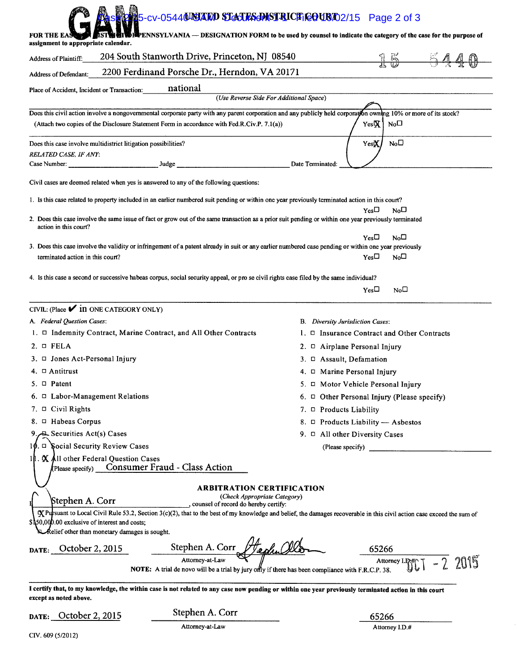| FOR THE EA<br>assignment to appropriate calendar.                                              | 5-cv-05440 NO ALO STACTES DISTRICTIC OURTO 2/15 Page 2 of 3                                                                                           | PENNSYLVANIA — DESIGNATION FORM to be used by counsel to indicate the category of the case for the purpose of                                                                          |
|------------------------------------------------------------------------------------------------|-------------------------------------------------------------------------------------------------------------------------------------------------------|----------------------------------------------------------------------------------------------------------------------------------------------------------------------------------------|
| Address of Plaintiff:                                                                          | 204 South Stanworth Drive, Princeton, NJ 08540                                                                                                        | $15 - 54$                                                                                                                                                                              |
| Address of Defendant:                                                                          | 2200 Ferdinand Porsche Dr., Herndon, VA 20171                                                                                                         |                                                                                                                                                                                        |
| Place of Accident, Incident or Transaction:                                                    | national                                                                                                                                              |                                                                                                                                                                                        |
|                                                                                                | (Use Reverse Side For Additional Space)                                                                                                               |                                                                                                                                                                                        |
|                                                                                                |                                                                                                                                                       | Does this civil action involve a nongovernmental corporate party with any parent corporation and any publicly held corporation owning 10% or more of its stock?                        |
|                                                                                                | (Attach two copies of the Disclosure Statement Form in accordance with Fed.R.Civ.P. 7.1(a))                                                           | YesR<br>No□                                                                                                                                                                            |
| Does this case involve multidistrict litigation possibilities?                                 |                                                                                                                                                       | YesX<br>$N_0$                                                                                                                                                                          |
| RELATED CASE, IF ANY:<br>Case Number:                                                          | Judge                                                                                                                                                 | Date Terminated:                                                                                                                                                                       |
|                                                                                                |                                                                                                                                                       |                                                                                                                                                                                        |
|                                                                                                | Civil cases are deemed related when yes is answered to any of the following questions:                                                                |                                                                                                                                                                                        |
|                                                                                                | 1. Is this case related to property included in an earlier numbered suit pending or within one year previously terminated action in this court?       |                                                                                                                                                                                        |
| action in this court?                                                                          | 2. Does this case involve the same issue of fact or grow out of the same transaction as a prior suit pending or within one year previously terminated | $Yes\square$<br>Νо□                                                                                                                                                                    |
| terminated action in this court?                                                               | 3. Does this case involve the validity or infringement of a patent already in suit or any earlier numbered case pending or within one year previously | $Yes\Box$<br>No□<br>Yes□<br>$N_0$                                                                                                                                                      |
|                                                                                                | 4. Is this case a second or successive habeas corpus, social security appeal, or pro se civil rights case filed by the same individual?               |                                                                                                                                                                                        |
|                                                                                                |                                                                                                                                                       | $_{\rm Yes}$ $\Box$<br>No <sub>1</sub>                                                                                                                                                 |
| CIVIL: (Place $\checkmark$ in ONE CATEGORY ONLY)                                               |                                                                                                                                                       |                                                                                                                                                                                        |
| A. Federal Question Cases:                                                                     |                                                                                                                                                       | B. Diversity Jurisdiction Cases:                                                                                                                                                       |
|                                                                                                | $1. \Box$ Indemnity Contract, Marine Contract, and All Other Contracts                                                                                | $l. \Box$ Insurance Contract and Other Contracts                                                                                                                                       |
| $2. \Box$ FELA                                                                                 |                                                                                                                                                       | 2. $\Box$ Airplane Personal Injury                                                                                                                                                     |
| 3. $\Box$ Jones Act-Personal Injury                                                            |                                                                                                                                                       | 3. $\Box$ Assault, Defamation                                                                                                                                                          |
| 4. $\Box$ Antitrust                                                                            |                                                                                                                                                       | 4. C Marine Personal Injury                                                                                                                                                            |
| 5. $\Box$ Patent                                                                               |                                                                                                                                                       | 5. • Motor Vehicle Personal Injury                                                                                                                                                     |
| $6. \Box$ Labor-Management Relations<br>7. $\Box$ Civil Rights                                 |                                                                                                                                                       | 6. $\Box$ Other Personal Injury (Please specify)                                                                                                                                       |
| 8. □ Habeas Corpus                                                                             |                                                                                                                                                       | 7. $\Box$ Products Liability<br>8. $\Box$ Products Liability — Asbestos                                                                                                                |
| 9. Securities Act(s) Cases                                                                     |                                                                                                                                                       | 9. $\Box$ All other Diversity Cases                                                                                                                                                    |
| 10. D Social Security Review Cases                                                             |                                                                                                                                                       | (Please specify)                                                                                                                                                                       |
| $1$   $\mathbf K$ All other Federal Question Cases<br>(Please specify)                         | Consumer Fraud - Class Action                                                                                                                         |                                                                                                                                                                                        |
|                                                                                                |                                                                                                                                                       |                                                                                                                                                                                        |
| Stephen A. Corr                                                                                | <b>ARBITRATION CERTIFICATION</b><br>(Check Appropriate Category)<br>, counsel of record do hereby certify:                                            |                                                                                                                                                                                        |
| \$150,000.00 exclusive of interest and costs;<br>Relief other than monetary damages is sought. |                                                                                                                                                       | $\mathbf{\times}$ Pursuant to Local Civil Rule 53.2, Section 3(c)(2), that to the best of my knowledge and belief, the damages recoverable in this civil action case exceed the sum of |
| DATE: October 2, 2015                                                                          | Stephen A. Corr<br>Vephul                                                                                                                             | 65266                                                                                                                                                                                  |
|                                                                                                | Attorney-at-Law<br><b>NOTE:</b> A trial de novo will be a trial by jury only if there has been compliance with F.R.C.P. 38.                           | $-2.2015$<br>Attorney I.P#C                                                                                                                                                            |
| except as noted above.                                                                         |                                                                                                                                                       | I certify that, to my knowledge, the within case is not related to any case now pending or within one year previously terminated action in this court                                  |
| DATE: October 2, 2015                                                                          | Stephen A. Corr                                                                                                                                       | 65266                                                                                                                                                                                  |
|                                                                                                | Attorney-at-Law                                                                                                                                       | Attorney I.D.#                                                                                                                                                                         |